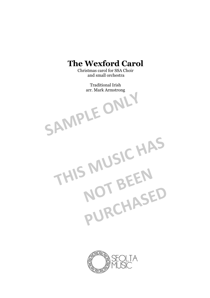## **The Wexford Carol**

Christmas carol for SSA Choir and small orchestra

> Traditional Irish arr. Mark Armstrong

THIS MUSIC HAS

NOT BEEN

**PURCHASED**

SAMPLE ONLY

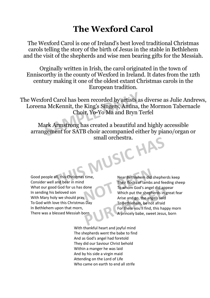## **The Wexford Carol**

The Wexford Carol is one of Ireland's best loved traditional Christmas carols telling the story of the birth of Jesus in the stable in Bethlehem and the visit of the shepherds and wise men bearing gifts for the Messiah.

Orginally written in Irish, the carol originated in the town of Enniscorthy in the county of Wexford in Ireland. It dates from the 12th century making it one of the oldest extant Christmas carols in the European tradition.

The Wexford Carol has been recorded by artists as diverse as Julie Andrews, Loreena McKennit, the King's Singers, Anúna, the Mormon Tabernacle Choir, Yo-Yo Ma and Bryn Terfel ord Carol has been recorded by artists as<br>a McKennit, the King's Singers, Anúna, t<br>Choir, Yo-Yo Ma and Bryn T<br>ark Armstrong has created a beautiful ar<br>gement for SATB choir accompanied eit

Mark Armstrong has created a beautiful and highly accessible arrangement for SATB choir accompanied either by piano/organ or small orchestra.<br> **THES**<br>
Their flocks of lambs and fee<br>
Their flocks of lambs and fee

Good people all, this Christmas time, Consider well and bear in mind What our good God for us has done In sending his beloved son With Mary holy we should pray, To God with love this Christmas Day In Bethlehem upon that morn, There was a blessed Messiah born

Near Bethlehem did shepherds keep Their flocks of lambs and feeding sheep To whom God's angel did appear Which put the shepherds in great fear Arise and go, the angels said To Bethlehem, be not afraid For there you'll find, this happy morn A princely babe, sweet Jesus, born Fig. Near Bethlehem did she<br>
Their flocks of lambs and<br>
To whom God's angel di<br>
Which put the shepher<br>
Arise and go, the angels **PURCHASED FOR THE SHOP OF STATES IN THE SHOPLAND FOR THE SHOPLAND TO Bethlehem, be not afraid For there you'll find, this happ A princely babe, sweet Jesus,** 

With thankful heart and joyful mind The shepherds went the babe to find And as God's angel had foretold They did our Saviour Christ behold Within a manger he was laid And by his side a virgin maid Attending on the Lord of Life Who came on earth to end all strife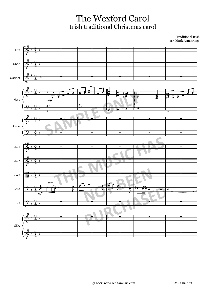The Wexford Carol Irish traditional Christmas carol

Traditional Irish arr. Mark Armstrong

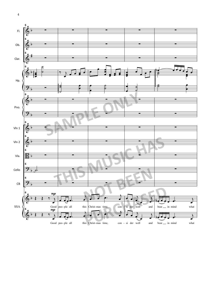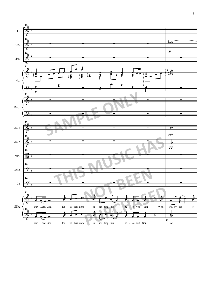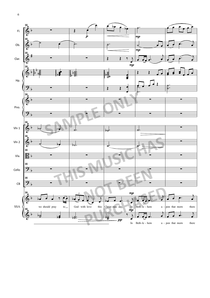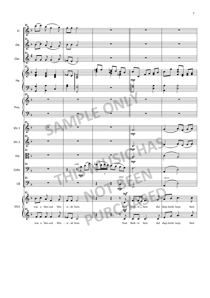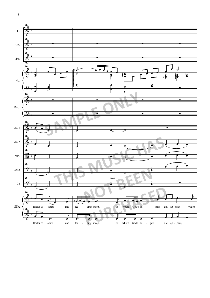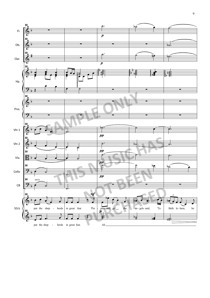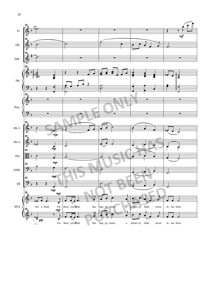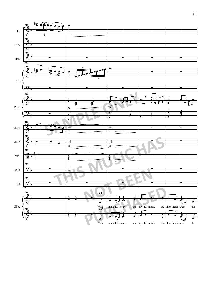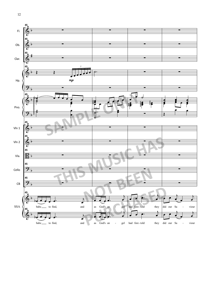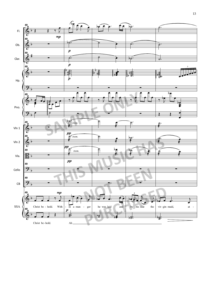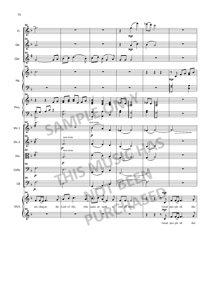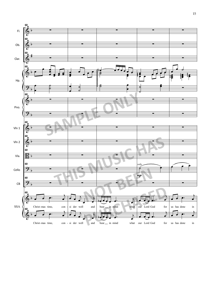